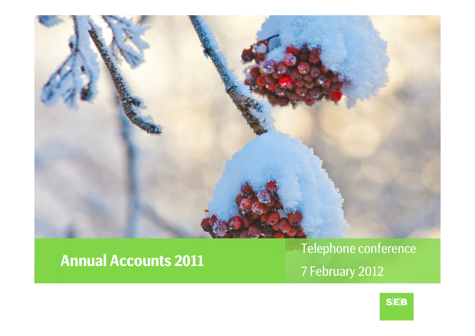

### **Annual Accounts**

**<sup>2011</sup>** Telephone conference 7 February <sup>2012</sup>

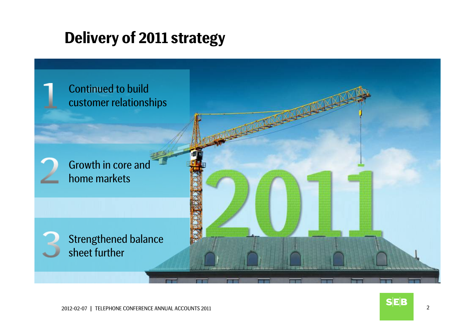# **Delivery of 2011 strategy**

Continued to build customer relationships

Growth in core and home markets

Strengthened balance sheet further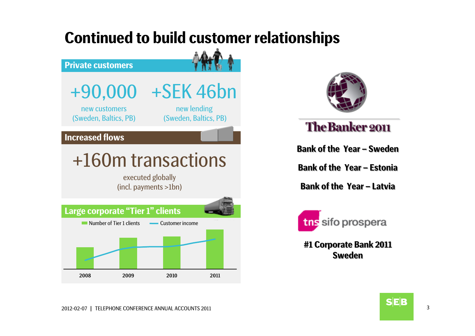### **Continued to build customer relationships**

#### **Private customers**

+90,000 +SEK 46bn

new customers(Sweden, Baltics, PB)

new lending (Sweden, Baltics, PB)

### **Increased flows**

# +160m transactions

executed globally (incl. payments >1bn)





### **The Banker 2011**

**Bank of the Year – Bank of the Year – Sweden** 

**Bank of the Year – Bank of the Year – Estonia Estonia**

**Bank of the Year – Bank of the Year – Latvia**



**#1 Corporate Bank 2011 #1 Corporate Bank 2011 SwedenSweden**

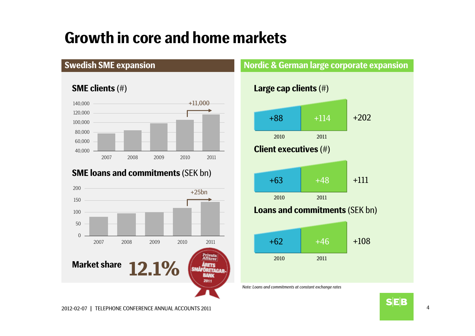# **Growth in core and home markets**

### **Swedish SME expansion**

#### **SME clients** (#)



### **SME loans and commitments** (SEK bn)



#### **Nordic & German large corporate expansion**



*Note: Loans and commitments at constant exchange rates*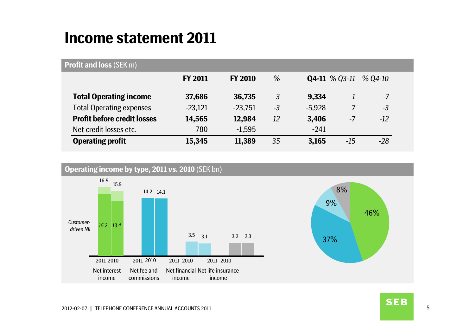### **Income statement 2011**

### **Profit and loss** (SEK m)

|                                    | <b>FY 2011</b> | <b>FY 2010</b> | %    |          | $Q4-11 \% Q3-11$ | $%$ Q4-10 |
|------------------------------------|----------------|----------------|------|----------|------------------|-----------|
| <b>Total Operating income</b>      | 37,686         | 36,735         | 3    | 9,334    |                  | $-7$      |
| <b>Total Operating expenses</b>    | $-23,121$      | $-23,751$      | $-3$ | $-5,928$ |                  | $-3$      |
| <b>Profit before credit losses</b> | 14,565         | 12,984         | 12   | 3,406    | $-7$             | $-12$     |
| Net credit losses etc.             | 780            | $-1,595$       |      | $-241$   |                  |           |
| <b>Operating profit</b>            | 15,345         | 11,389         | 35   | 3,165    | $-15$            | $-28$     |

#### **Operating income by type, 2011 vs. 2010** (SEK bn)



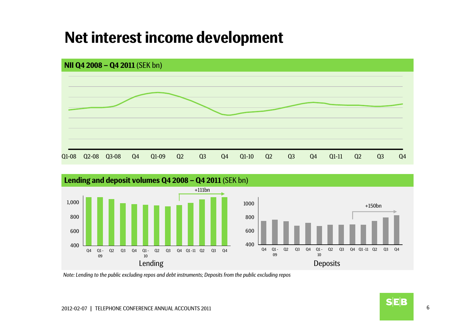### **Net interest income development**





*Note: Lending to the public excluding repos and debt instruments; Deposits from the public excluding repos*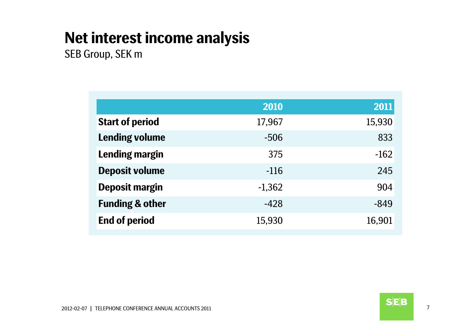# **Net interest income analysis**

SEB Group, SEK m

|                            | 2010     | 2011   |
|----------------------------|----------|--------|
| <b>Start of period</b>     | 17,967   | 15,930 |
| <b>Lending volume</b>      | $-506$   | 833    |
| Lending margin             | 375      | $-162$ |
| <b>Deposit volume</b>      | $-116$   | 245    |
| <b>Deposit margin</b>      | $-1,362$ | 904    |
| <b>Funding &amp; other</b> | $-428$   | $-849$ |
| <b>End of period</b>       | 15,930   | 16,901 |
|                            |          |        |

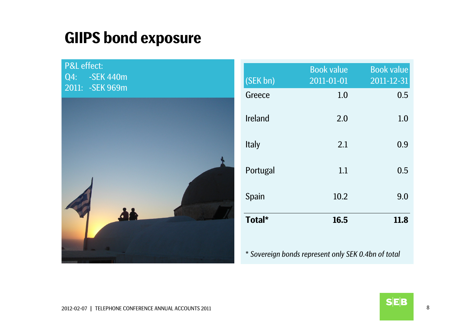### **GIIPS bond exposure**

P&L effect: Q4: -SEK 440m 2011: -SEK 969m



| (SEK bn)     | <b>Book value</b><br>2011-01-01 | <b>Book value</b><br>2011-12-31 |
|--------------|---------------------------------|---------------------------------|
| Greece       | 1.0                             | 0.5                             |
| Ireland      | 2.0                             | 1.0                             |
| <b>Italy</b> | 2.1                             | 0.9                             |
| Portugal     | 1.1                             | 0.5                             |
| Spain        | 10.2                            | 9.0                             |
| Total*       | 16.5                            | 11.8                            |
|              |                                 |                                 |

\* *Sovereign bonds represent only SEK 0.4bn of total*

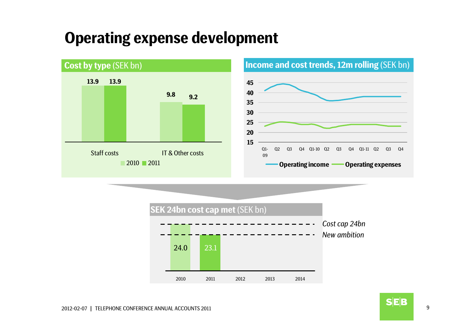### **Operating expense development**



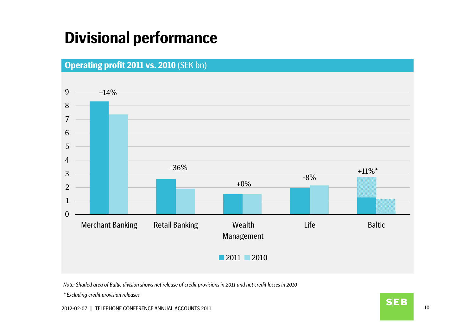# **Divisional performance**



*Note: Shaded area of Baltic division shows net release of credit provisions in 2011 and net credit losses in 2010*

*\* Excluding credit provision releases*

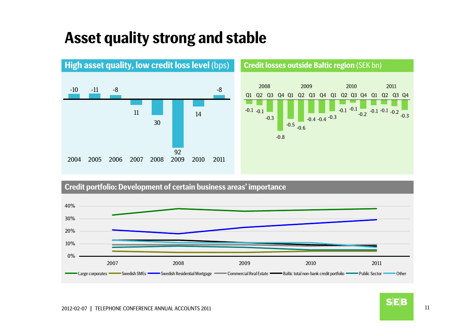# **Asset quality strong and stable**



#### **Credit portfolio: Development of certain business areas' importance**



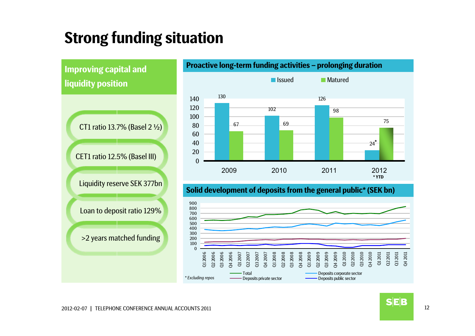# **Strong funding situation**



#### **Proactive long-term funding activities – prolonging duration**



### **Solid development of deposits from the general public\* (SEK bn)**



**SEB**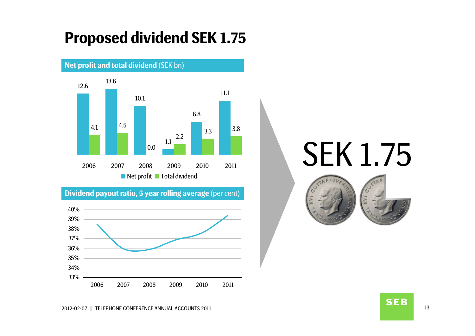# **Proposed dividend SEK 1.75**



**Dividend payout ratio, 5 year rolling average** (per cent)



# SEK 1.75





**SEB**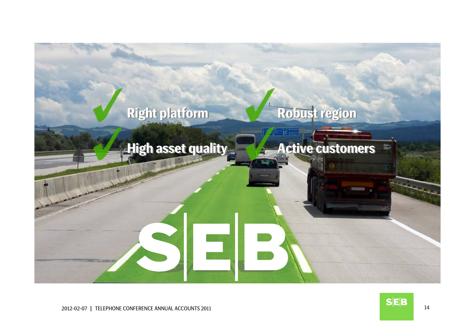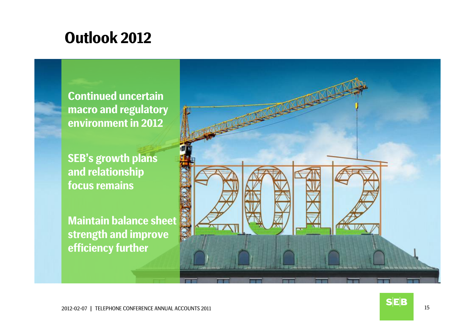### **Outlook 2012**

**Continued uncertain macro and regulatory environment in 2012**

**SEB's growth plans and relationship focus remains**

**Maintain balance sheet strength and improve efficiency further**